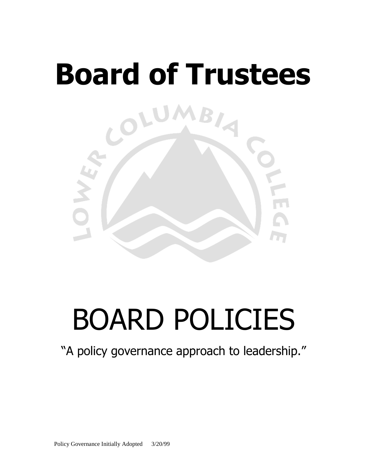# **Board of Trustees**



# BOARD POLICIES

"A policy governance approach to leadership."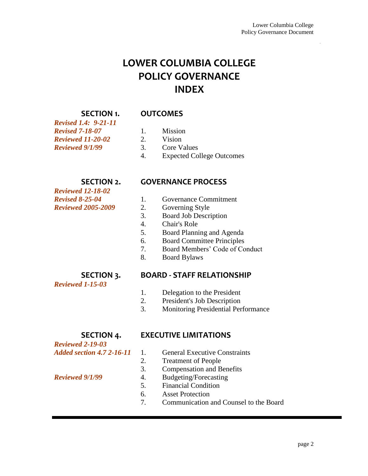# **LOWER COLUMBIA COLLEGE POLICY GOVERNANCE INDEX**

#### **SECTION 1. OUTCOMES**

*Revised 1.4: 9-21-11 Revised 7-18-07* 1. Mission *Reviewed 11-20-02* 2. Vision *Reviewed 9/1/99* 3. Core Values

- 
- 
- 4. Expected College Outcomes

# **SECTION 2. GOVERNANCE PROCESS**

- *Reviewed 12-18-02 Reviewed 2005-2009* 2. Governing Style
- *Revised 8-25-04* 1. Governance Commitment
	-
	- 3. Board Job Description
	- 4. Chair's Role
	- 5. Board Planning and Agenda
	- 6. Board Committee Principles
	- 7. Board Members' Code of Conduct
	- 8. Board Bylaws

#### **SECTION 3. BOARD - STAFF RELATIONSHIP**

*Reviewed 1-15-03*

#### 1. Delegation to the President

- 2. President's Job Description
- 3. Monitoring Presidential Performance

# *Reviewed 2-19-03*

**SECTION 4. EXECUTIVE LIMITATIONS**

- *Added section 4.7 2-16-11* 1. General Executive Constraints
	- 2. Treatment of People
	- 3. Compensation and Benefits
- *Reviewed 9/1/99* 4. Budgeting/Forecasting
	- 5. Financial Condition
	- 6. Asset Protection
	- 7. Communication and Counsel to the Board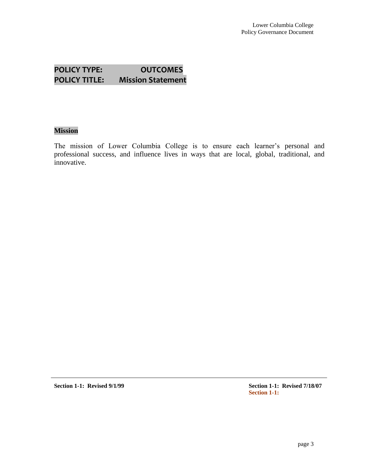# **POLICY TYPE: OUTCOMES POLICY TITLE: Mission Statement**

#### **Mission**

The mission of Lower Columbia College is to ensure each learner's personal and professional success, and influence lives in ways that are local, global, traditional, and innovative.

**Section 1-1: Revised 9/1/99 Section 1-1: Revised 7/18/07**

**Section 1-1:**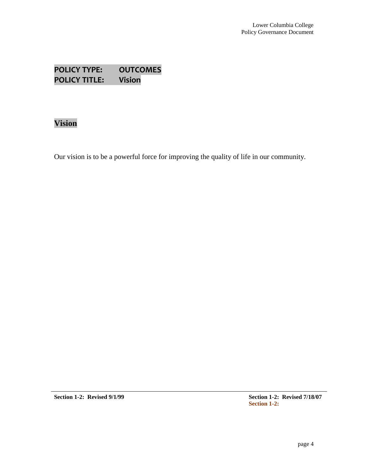**POLICY TYPE: OUTCOMES POLICY TITLE: Vision**

# **Vision**

Our vision is to be a powerful force for improving the quality of life in our community.

Section 1-2: Revised 9/1/99 Section 1-2: Revised 7/18/07

**Section 1-2:**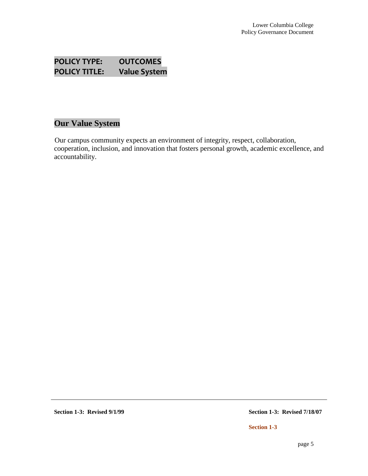# **POLICY TYPE: OUTCOMES POLICY TITLE: Value System**

# **Our Value System**

Our campus community expects an environment of integrity, respect, collaboration, cooperation, inclusion, and innovation that fosters personal growth, academic excellence, and accountability.

**Section 1-3: Revised 9/1/99 Section 1-3: Revised 7/18/07**

**Section 1-3**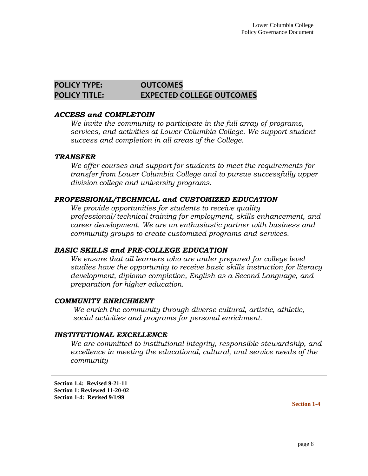#### **POLICY TYPE: OUTCOMES POLICY TITLE: EXPECTED COLLEGE OUTCOMES**

#### *ACCESS and COMPLETOIN*

*We invite the community to participate in the full array of programs, services, and activities at Lower Columbia College. We support student success and completion in all areas of the College.*

#### *TRANSFER*

*We offer courses and support for students to meet the requirements for transfer from Lower Columbia College and to pursue successfully upper division college and university programs.*

#### *PROFESSIONAL/TECHNICAL and CUSTOMIZED EDUCATION*

*We provide opportunities for students to receive quality professional/technical training for employment, skills enhancement, and career development. We are an enthusiastic partner with business and community groups to create customized programs and services.*

#### *BASIC SKILLS and PRE-COLLEGE EDUCATION*

*We ensure that all learners who are under prepared for college level studies have the opportunity to receive basic skills instruction for literacy development, diploma completion, English as a Second Language, and preparation for higher education.*

#### *COMMUNITY ENRICHMENT*

*We enrich the community through diverse cultural, artistic, athletic, social activities and programs for personal enrichment.* 

#### *INSTITUTIONAL EXCELLENCE*

*We are committed to institutional integrity, responsible stewardship, and excellence in meeting the educational, cultural, and service needs of the community*

**Section 1.4: Revised 9-21-11 Section 1: Reviewed 11-20-02 Section 1-4: Revised 9/1/99**

**Section 1-4**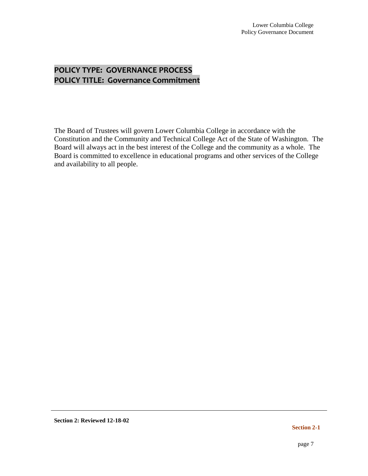# **POLICY TYPE: GOVERNANCE PROCESS POLICY TITLE: Governance Commitment**

The Board of Trustees will govern Lower Columbia College in accordance with the Constitution and the Community and Technical College Act of the State of Washington. The Board will always act in the best interest of the College and the community as a whole. The Board is committed to excellence in educational programs and other services of the College and availability to all people.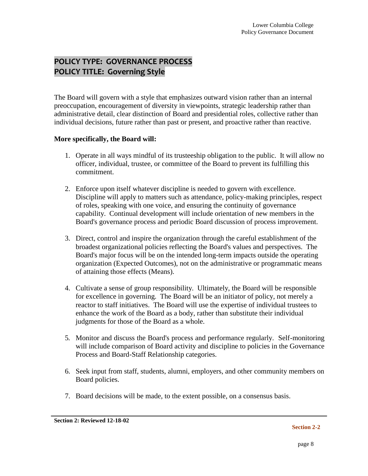# **POLICY TYPE: GOVERNANCE PROCESS POLICY TITLE: Governing Style**

The Board will govern with a style that emphasizes outward vision rather than an internal preoccupation, encouragement of diversity in viewpoints, strategic leadership rather than administrative detail, clear distinction of Board and presidential roles, collective rather than individual decisions, future rather than past or present, and proactive rather than reactive.

#### **More specifically, the Board will:**

- 1. Operate in all ways mindful of its trusteeship obligation to the public. It will allow no officer, individual, trustee, or committee of the Board to prevent its fulfilling this commitment.
- 2. Enforce upon itself whatever discipline is needed to govern with excellence. Discipline will apply to matters such as attendance, policy-making principles, respect of roles, speaking with one voice, and ensuring the continuity of governance capability. Continual development will include orientation of new members in the Board's governance process and periodic Board discussion of process improvement.
- 3. Direct, control and inspire the organization through the careful establishment of the broadest organizational policies reflecting the Board's values and perspectives. The Board's major focus will be on the intended long-term impacts outside the operating organization (Expected Outcomes), not on the administrative or programmatic means of attaining those effects (Means).
- 4. Cultivate a sense of group responsibility. Ultimately, the Board will be responsible for excellence in governing. The Board will be an initiator of policy, not merely a reactor to staff initiatives. The Board will use the expertise of individual trustees to enhance the work of the Board as a body, rather than substitute their individual judgments for those of the Board as a whole.
- 5*.* Monitor and discuss the Board's process and performance regularly. Self-monitoring will include comparison of Board activity and discipline to policies in the Governance Process and Board-Staff Relationship categories.
- 6. Seek input from staff, students, alumni, employers, and other community members on Board policies.
- 7. Board decisions will be made, to the extent possible, on a consensus basis.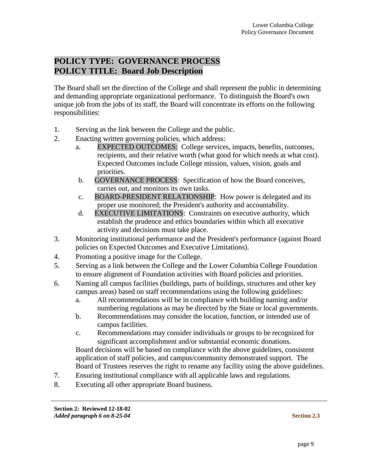#### **POLICY TYPE: GOVERNANCE PROCESS POLICY TITLE: Board Job Description**

The Board shall set the direction of the College and shall represent the public in determining and demanding appropriate organizational performance. To distinguish the Board's own unique job from the jobs of its staff, the Board will concentrate its efforts on the following responsibilities:

- 1. Serving as the link between the College and the public.
- 2. Enacting written governing policies, which address:
	- a. EXPECTED OUTCOMES: College services, impacts, benefits, outcomes, recipients, and their relative worth (what good for which needs at what cost). Expected Outcomes include College mission, values, vision, goals and priorities.
	- b. GOVERNANCE PROCESS: Specification of how the Board conceives, carries out, and monitors its own tasks.
	- c. BOARD-PRESIDENT RELATIONSHIP: How power is delegated and its proper use monitored; the President's authority and accountability.
	- d. EXECUTIVE LIMITATIONS: Constraints on executive authority, which establish the prudence and ethics boundaries within which all executive activity and decisions must take place.
- 3. Monitoring institutional performance and the President's performance (against Board policies on Expected Outcomes and Executive Limitations).
- 4. Promoting a positive image for the College.
- 5. Serving as a link between the College and the Lower Columbia College Foundation to ensure alignment of Foundation activities with Board policies and priorities.
- 6. Naming all campus facilities (buildings, parts of buildings, structures and other key campus areas) based on staff recommendations using the following guidelines:
	- a. All recommendations will be in compliance with building naming and/or numbering regulations as may be directed by the State or local governments.
	- b. Recommendations may consider the location, function, or intended use of campus facilities.
	- c. Recommendations may consider individuals or groups to be recognized for significant accomplishment and/or substantial economic donations.

Board decisions will be based on compliance with the above guidelines, consistent application of staff policies, and campus/community demonstrated support. The Board of Trustees reserves the right to rename any facility using the above guidelines.

- 7. Ensuring institutional compliance with all applicable laws and regulations.
- 8. Executing all other appropriate Board business.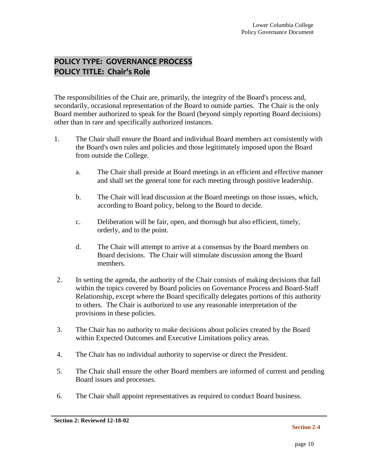# **POLICY TYPE: GOVERNANCE PROCESS POLICY TITLE: Chair's Role**

The responsibilities of the Chair are, primarily, the integrity of the Board's process and, secondarily, occasional representation of the Board to outside parties. The Chair is the only Board member authorized to speak for the Board (beyond simply reporting Board decisions) other than in rare and specifically authorized instances.

- 1. The Chair shall ensure the Board and individual Board members act consistently with the Board's own rules and policies and those legitimately imposed upon the Board from outside the College.
	- a. The Chair shall preside at Board meetings in an efficient and effective manner and shall set the general tone for each meeting through positive leadership.
	- b. The Chair will lead discussion at the Board meetings on those issues, which, according to Board policy, belong to the Board to decide.
	- c. Deliberation will be fair, open, and thorough but also efficient, timely, orderly, and to the point.
	- d. The Chair will attempt to arrive at a consensus by the Board members on Board decisions. The Chair will stimulate discussion among the Board members.
- 2. In setting the agenda, the authority of the Chair consists of making decisions that fall within the topics covered by Board policies on Governance Process and Board-Staff Relationship, except where the Board specifically delegates portions of this authority to others. The Chair is authorized to use any reasonable interpretation of the provisions in these policies.
- 3. The Chair has no authority to make decisions about policies created by the Board within Expected Outcomes and Executive Limitations policy areas.
- 4. The Chair has no individual authority to supervise or direct the President.
- 5. The Chair shall ensure the other Board members are informed of current and pending Board issues and processes.
- 6. The Chair shall appoint representatives as required to conduct Board business.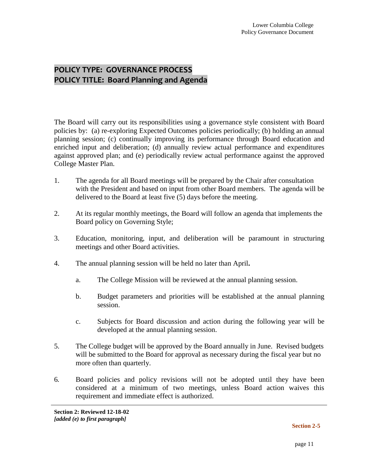# **POLICY TYPE: GOVERNANCE PROCESS POLICY TITLE: Board Planning and Agenda**

The Board will carry out its responsibilities using a governance style consistent with Board policies by: (a) re-exploring Expected Outcomes policies periodically; (b) holding an annual planning session; (c) continually improving its performance through Board education and enriched input and deliberation; (d) annually review actual performance and expenditures against approved plan; and (e) periodically review actual performance against the approved College Master Plan.

- 1. The agenda for all Board meetings will be prepared by the Chair after consultation with the President and based on input from other Board members. The agenda will be delivered to the Board at least five (5) days before the meeting.
- 2. At its regular monthly meetings, the Board will follow an agenda that implements the Board policy on Governing Style;
- 3. Education, monitoring, input, and deliberation will be paramount in structuring meetings and other Board activities.
- 4. The annual planning session will be held no later than April**.**
	- a. The College Mission will be reviewed at the annual planning session.
	- b. Budget parameters and priorities will be established at the annual planning session.
	- c. Subjects for Board discussion and action during the following year will be developed at the annual planning session.
- 5. The College budget will be approved by the Board annually in June. Revised budgets will be submitted to the Board for approval as necessary during the fiscal year but no more often than quarterly.
- 6*.* Board policies and policy revisions will not be adopted until they have been considered at a minimum of two meetings, unless Board action waives this requirement and immediate effect is authorized.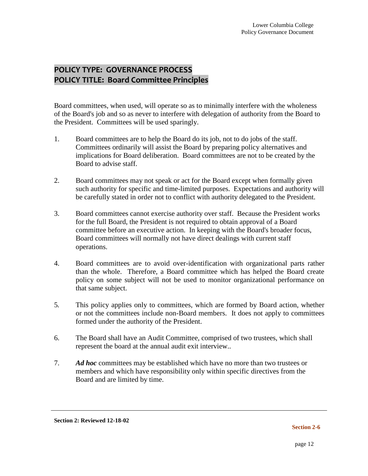# **POLICY TYPE: GOVERNANCE PROCESS POLICY TITLE: Board Committee Principles**

Board committees, when used, will operate so as to minimally interfere with the wholeness of the Board's job and so as never to interfere with delegation of authority from the Board to the President. Committees will be used sparingly.

- 1. Board committees are to help the Board do its job, not to do jobs of the staff. Committees ordinarily will assist the Board by preparing policy alternatives and implications for Board deliberation. Board committees are not to be created by the Board to advise staff.
- 2. Board committees may not speak or act for the Board except when formally given such authority for specific and time-limited purposes. Expectations and authority will be carefully stated in order not to conflict with authority delegated to the President.
- 3. Board committees cannot exercise authority over staff. Because the President works for the full Board, the President is not required to obtain approval of a Board committee before an executive action. In keeping with the Board's broader focus, Board committees will normally not have direct dealings with current staff operations.
- 4. Board committees are to avoid over-identification with organizational parts rather than the whole. Therefore, a Board committee which has helped the Board create policy on some subject will not be used to monitor organizational performance on that same subject.
- 5*.* This policy applies only to committees, which are formed by Board action, whether or not the committees include non-Board members. It does not apply to committees formed under the authority of the President.
- 6. The Board shall have an Audit Committee, comprised of two trustees, which shall represent the board at the annual audit exit interview..
- 7. *Ad hoc* committees may be established which have no more than two trustees or members and which have responsibility only within specific directives from the Board and are limited by time.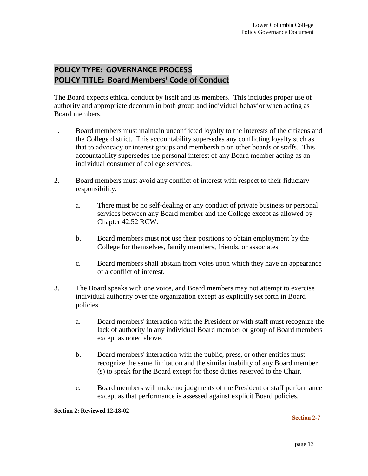# **POLICY TYPE: GOVERNANCE PROCESS POLICY TITLE: Board Members' Code of Conduct**

The Board expects ethical conduct by itself and its members. This includes proper use of authority and appropriate decorum in both group and individual behavior when acting as Board members.

- 1. Board members must maintain unconflicted loyalty to the interests of the citizens and the College district. This accountability supersedes any conflicting loyalty such as that to advocacy or interest groups and membership on other boards or staffs. This accountability supersedes the personal interest of any Board member acting as an individual consumer of college services.
- 2. Board members must avoid any conflict of interest with respect to their fiduciary responsibility.
	- a. There must be no self-dealing or any conduct of private business or personal services between any Board member and the College except as allowed by Chapter 42.52 RCW.
	- b. Board members must not use their positions to obtain employment by the College for themselves, family members, friends, or associates.
	- c. Board members shall abstain from votes upon which they have an appearance of a conflict of interest.
- 3. The Board speaks with one voice, and Board members may not attempt to exercise individual authority over the organization except as explicitly set forth in Board policies.
	- a. Board members' interaction with the President or with staff must recognize the lack of authority in any individual Board member or group of Board members except as noted above.
	- b. Board members' interaction with the public, press, or other entities must recognize the same limitation and the similar inability of any Board member (s) to speak for the Board except for those duties reserved to the Chair.
	- c. Board members will make no judgments of the President or staff performance except as that performance is assessed against explicit Board policies.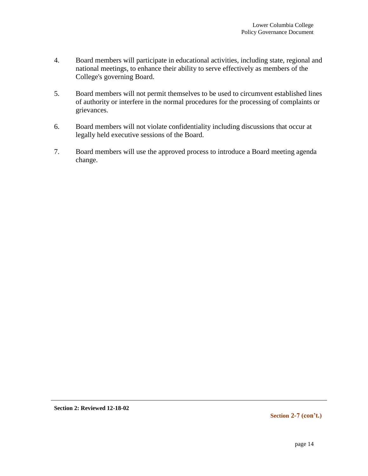- 4. Board members will participate in educational activities, including state, regional and national meetings, to enhance their ability to serve effectively as members of the College's governing Board.
- 5. Board members will not permit themselves to be used to circumvent established lines of authority or interfere in the normal procedures for the processing of complaints or grievances.
- 6. Board members will not violate confidentiality including discussions that occur at legally held executive sessions of the Board.
- 7. Board members will use the approved process to introduce a Board meeting agenda change.

**Section 2-7 (con't.)**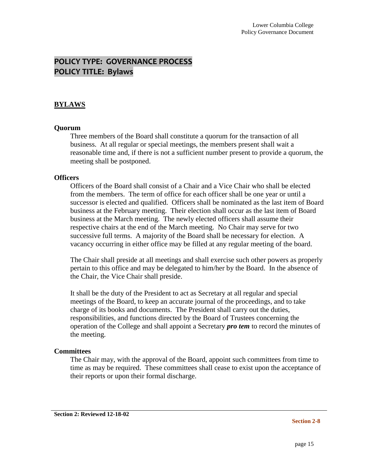#### **POLICY TYPE: GOVERNANCE PROCESS POLICY TITLE: Bylaws**

#### **BYLAWS**

#### **Quorum**

Three members of the Board shall constitute a quorum for the transaction of all business. At all regular or special meetings, the members present shall wait a reasonable time and, if there is not a sufficient number present to provide a quorum, the meeting shall be postponed.

#### **Officers**

Officers of the Board shall consist of a Chair and a Vice Chair who shall be elected from the members. The term of office for each officer shall be one year or until a successor is elected and qualified. Officers shall be nominated as the last item of Board business at the February meeting. Their election shall occur as the last item of Board business at the March meeting. The newly elected officers shall assume their respective chairs at the end of the March meeting. No Chair may serve for two successive full terms. A majority of the Board shall be necessary for election. A vacancy occurring in either office may be filled at any regular meeting of the board.

The Chair shall preside at all meetings and shall exercise such other powers as properly pertain to this office and may be delegated to him/her by the Board. In the absence of the Chair, the Vice Chair shall preside.

It shall be the duty of the President to act as Secretary at all regular and special meetings of the Board, to keep an accurate journal of the proceedings, and to take charge of its books and documents. The President shall carry out the duties, responsibilities, and functions directed by the Board of Trustees concerning the operation of the College and shall appoint a Secretary *pro tem* to record the minutes of the meeting.

#### **Committees**

The Chair may, with the approval of the Board, appoint such committees from time to time as may be required. These committees shall cease to exist upon the acceptance of their reports or upon their formal discharge.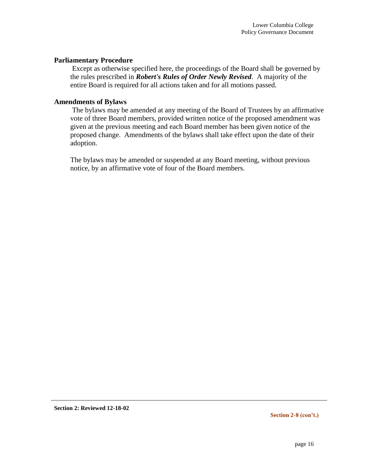#### **Parliamentary Procedure**

Except as otherwise specified here, the proceedings of the Board shall be governed by the rules prescribed in *Robert's Rules of Order Newly Revised*. A majority of the entire Board is required for all actions taken and for all motions passed.

#### **Amendments of Bylaws**

The bylaws may be amended at any meeting of the Board of Trustees by an affirmative vote of three Board members, provided written notice of the proposed amendment was given at the previous meeting and each Board member has been given notice of the proposed change. Amendments of the bylaws shall take effect upon the date of their adoption.

The bylaws may be amended or suspended at any Board meeting, without previous notice, by an affirmative vote of four of the Board members.

**Section 2-8 (con't.)**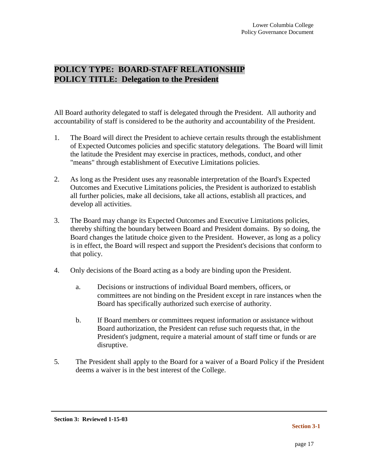#### **POLICY TYPE: BOARD-STAFF RELATIONSHIP POLICY TITLE: Delegation to the President**

All Board authority delegated to staff is delegated through the President. All authority and accountability of staff is considered to be the authority and accountability of the President.

- 1. The Board will direct the President to achieve certain results through the establishment of Expected Outcomes policies and specific statutory delegations. The Board will limit the latitude the President may exercise in practices, methods, conduct, and other "means" through establishment of Executive Limitations policies.
- 2. As long as the President uses any reasonable interpretation of the Board's Expected Outcomes and Executive Limitations policies, the President is authorized to establish all further policies, make all decisions, take all actions, establish all practices, and develop all activities.
- 3. The Board may change its Expected Outcomes and Executive Limitations policies, thereby shifting the boundary between Board and President domains. By so doing, the Board changes the latitude choice given to the President. However, as long as a policy is in effect, the Board will respect and support the President's decisions that conform to that policy.
- 4. Only decisions of the Board acting as a body are binding upon the President.
	- a. Decisions or instructions of individual Board members, officers, or committees are not binding on the President except in rare instances when the Board has specifically authorized such exercise of authority.
	- b. If Board members or committees request information or assistance without Board authorization, the President can refuse such requests that, in the President's judgment, require a material amount of staff time or funds or are disruptive.
- 5*.* The President shall apply to the Board for a waiver of a Board Policy if the President deems a waiver is in the best interest of the College.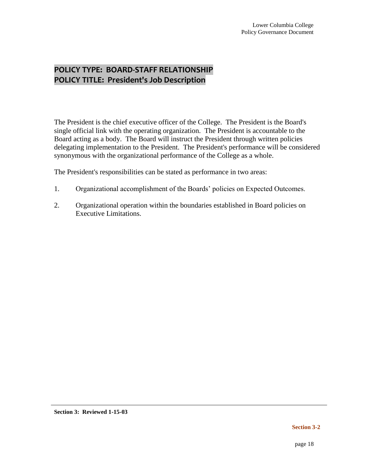#### **POLICY TYPE: BOARD-STAFF RELATIONSHIP POLICY TITLE: President's Job Description**

The President is the chief executive officer of the College. The President is the Board's single official link with the operating organization. The President is accountable to the Board acting as a body. The Board will instruct the President through written policies delegating implementation to the President. The President's performance will be considered synonymous with the organizational performance of the College as a whole.

The President's responsibilities can be stated as performance in two areas:

- 1. Organizational accomplishment of the Boards' policies on Expected Outcomes.
- 2. Organizational operation within the boundaries established in Board policies on Executive Limitations.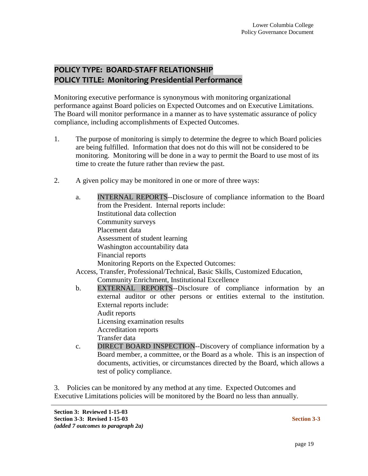#### **POLICY TYPE: BOARD-STAFF RELATIONSHIP POLICY TITLE: Monitoring Presidential Performance**

Monitoring executive performance is synonymous with monitoring organizational performance against Board policies on Expected Outcomes and on Executive Limitations. The Board will monitor performance in a manner as to have systematic assurance of policy compliance, including accomplishments of Expected Outcomes.

- 1. The purpose of monitoring is simply to determine the degree to which Board policies are being fulfilled. Information that does not do this will not be considered to be monitoring. Monitoring will be done in a way to permit the Board to use most of its time to create the future rather than review the past.
- 2. A given policy may be monitored in one or more of three ways:

| a. | INTERNAL REPORTS--Disclosure of compliance information to the Board           |
|----|-------------------------------------------------------------------------------|
|    | from the President. Internal reports include:                                 |
|    | Institutional data collection                                                 |
|    | Community surveys                                                             |
|    | Placement data                                                                |
|    | Assessment of student learning                                                |
|    | Washington accountability data                                                |
|    | Financial reports                                                             |
|    | Monitoring Reports on the Expected Outcomes:                                  |
|    | Access, Transfer, Professional/Technical, Basic Skills, Customized Education, |
|    | <b>Community Enrichment, Institutional Excellence</b>                         |
| b. | EXTERNAL REPORTS--Disclosure of compliance information by an                  |
|    | external auditor or other persons or entities external to the institution.    |

- external auditor or other persons or entities external to the institution. External reports include: Audit reports Licensing examination results Accreditation reports Transfer data
- c. DIRECT BOARD INSPECTION--Discovery of compliance information by a Board member, a committee, or the Board as a whole. This is an inspection of documents, activities, or circumstances directed by the Board, which allows a test of policy compliance.

3. Policies can be monitored by any method at any time. Expected Outcomes and Executive Limitations policies will be monitored by the Board no less than annually.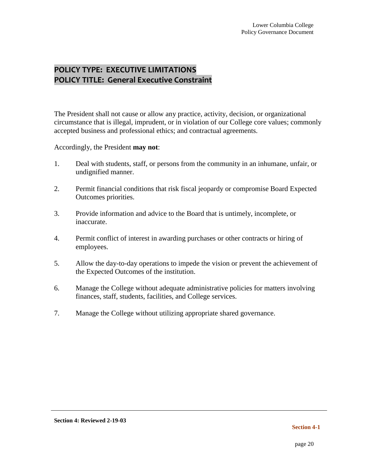# **POLICY TYPE: EXECUTIVE LIMITATIONS POLICY TITLE: General Executive Constraint**

The President shall not cause or allow any practice, activity, decision, or organizational circumstance that is illegal, imprudent, or in violation of our College core values; commonly accepted business and professional ethics; and contractual agreements.

- 1. Deal with students, staff, or persons from the community in an inhumane, unfair, or undignified manner.
- 2. Permit financial conditions that risk fiscal jeopardy or compromise Board Expected Outcomes priorities.
- 3. Provide information and advice to the Board that is untimely, incomplete, or inaccurate.
- 4. Permit conflict of interest in awarding purchases or other contracts or hiring of employees.
- 5. Allow the day-to-day operations to impede the vision or prevent the achievement of the Expected Outcomes of the institution.
- 6. Manage the College without adequate administrative policies for matters involving finances, staff, students, facilities, and College services.
- 7. Manage the College without utilizing appropriate shared governance.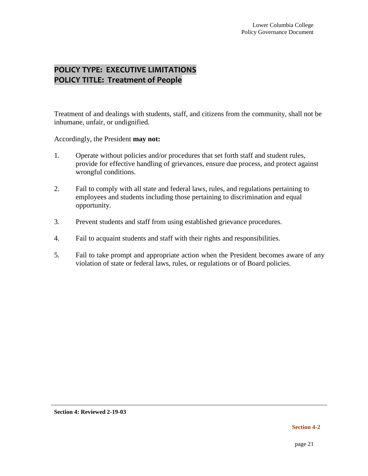# **POLICY TYPE: EXECUTIVE LIMITATIONS POLICY TITLE: Treatment of People**

Treatment of and dealings with students, staff, and citizens from the community, shall not be inhumane, unfair, or undignified.

- 1. Operate without policies and/or procedures that set forth staff and student rules, provide for effective handling of grievances, ensure due process, and protect against wrongful conditions.
- 2. Fail to comply with all state and federal laws, rules, and regulations pertaining to employees and students including those pertaining to discrimination and equal opportunity.
- 3. Prevent students and staff from using established grievance procedures.
- 4. Fail to acquaint students and staff with their rights and responsibilities.
- 5. Fail to take prompt and appropriate action when the President becomes aware of any violation of state or federal laws, rules, or regulations or of Board policies.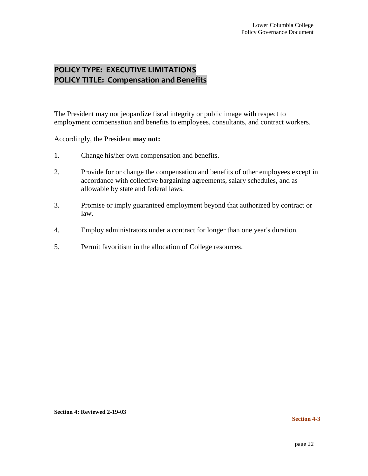# **POLICY TYPE: EXECUTIVE LIMITATIONS POLICY TITLE: Compensation and Benefits**

The President may not jeopardize fiscal integrity or public image with respect to employment compensation and benefits to employees, consultants, and contract workers.

- 1. Change his/her own compensation and benefits.
- 2. Provide for or change the compensation and benefits of other employees except in accordance with collective bargaining agreements, salary schedules, and as allowable by state and federal laws.
- 3. Promise or imply guaranteed employment beyond that authorized by contract or law.
- 4. Employ administrators under a contract for longer than one year's duration.
- 5. Permit favoritism in the allocation of College resources.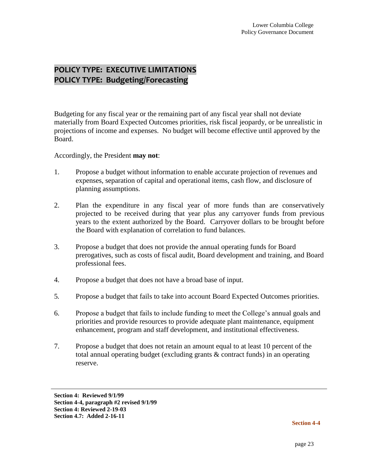# **POLICY TYPE: EXECUTIVE LIMITATIONS POLICY TYPE: Budgeting/Forecasting**

Budgeting for any fiscal year or the remaining part of any fiscal year shall not deviate materially from Board Expected Outcomes priorities, risk fiscal jeopardy, or be unrealistic in projections of income and expenses. No budget will become effective until approved by the Board.

Accordingly, the President **may not**:

- 1. Propose a budget without information to enable accurate projection of revenues and expenses, separation of capital and operational items, cash flow, and disclosure of planning assumptions.
- 2. Plan the expenditure in any fiscal year of more funds than are conservatively projected to be received during that year plus any carryover funds from previous years to the extent authorized by the Board. Carryover dollars to be brought before the Board with explanation of correlation to fund balances.
- 3. Propose a budget that does not provide the annual operating funds for Board prerogatives, such as costs of fiscal audit, Board development and training, and Board professional fees.
- 4. Propose a budget that does not have a broad base of input.
- 5*.* Propose a budget that fails to take into account Board Expected Outcomes priorities.
- 6. Propose a budget that fails to include funding to meet the College's annual goals and priorities and provide resources to provide adequate plant maintenance, equipment enhancement, program and staff development, and institutional effectiveness.
- 7. Propose a budget that does not retain an amount equal to at least 10 percent of the total annual operating budget (excluding grants & contract funds) in an operating reserve.

**Section 4-4**

**Section 4: Reviewed 9/1/99 Section 4-4, paragraph #2 revised 9/1/99 Section 4: Reviewed 2-19-03 Section 4.7: Added 2-16-11**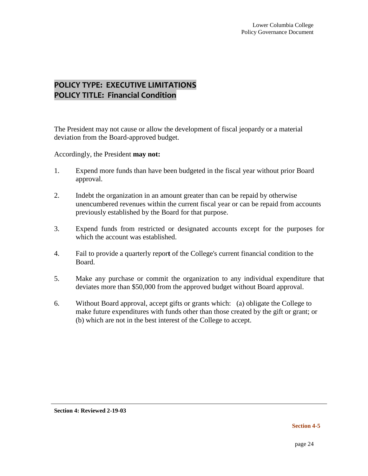#### **POLICY TYPE: EXECUTIVE LIMITATIONS POLICY TITLE: Financial Condition**

The President may not cause or allow the development of fiscal jeopardy or a material deviation from the Board-approved budget.

- 1. Expend more funds than have been budgeted in the fiscal year without prior Board approval.
- 2. Indebt the organization in an amount greater than can be repaid by otherwise unencumbered revenues within the current fiscal year or can be repaid from accounts previously established by the Board for that purpose.
- 3. Expend funds from restricted or designated accounts except for the purposes for which the account was established.
- 4. Fail to provide a quarterly repor**t** of the College's current financial condition to the Board.
- 5. Make any purchase or commit the organization to any individual expenditure that deviates more than \$50,000 from the approved budget without Board approval.
- 6. Without Board approval, accept gifts or grants which: (a) obligate the College to make future expenditures with funds other than those created by the gift or grant; or (b) which are not in the best interest of the College to accept.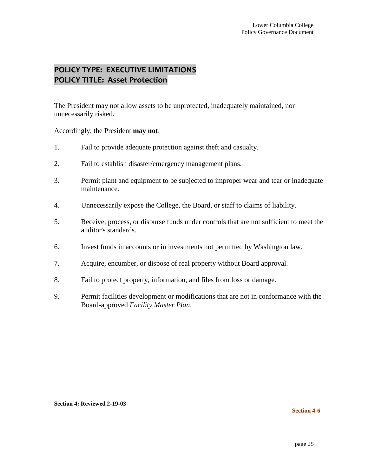# **POLICY TYPE: EXECUTIVE LIMITATIONS POLICY TITLE: Asset Protection**

The President may not allow assets to be unprotected, inadequately maintained, nor unnecessarily risked.

Accordingly, the President **may not**:

- 1. Fail to provide adequate protection against theft and casualty.
- 2. Fail to establish disaster/emergency management plans.
- 3. Permit plant and equipment to be subjected to improper wear and tear or inadequate maintenance.
- 4. Unnecessarily expose the College, the Board, or staff to claims of liability.
- 5. Receive, process, or disburse funds under controls that are not sufficient to meet the auditor's standards.
- 6. Invest funds in accounts or in investments not permitted by Washington law.
- 7. Acquire, encumber, or dispose of real property without Board approval.
- 8. Fail to protect property, information, and files from loss or damage.
- 9. Permit facilities development or modifications that are not in conformance with the Board-approved *Facility Master Plan*.

**Section 4-6**